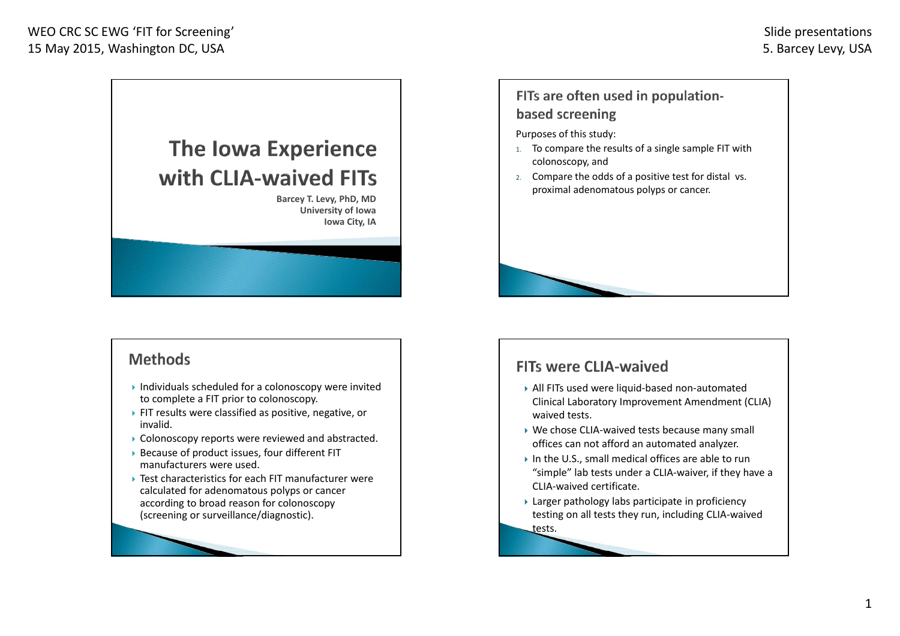

**University of Iowa Iowa City, IA**

### **Methods**

- Individuals scheduled for <sup>a</sup> colonoscopy were invited to complete <sup>a</sup> FIT prior to colonoscopy.
- FIT results were classified as positive, negative, or invalid.
- Colonoscopy reports were reviewed and abstracted.
- Because of product issues, four different FIT manufacturers were used.
- Test characteristics for each FIT manufacturer were calculated for adenomatous polyps or cancer according to broad reason for colonoscopy (screening or surveillance/diagnostic).

### FITs are often used in populationbased screening

Purposes of this study:

- 1. To compare the results of <sup>a</sup> single sample FIT with colonoscopy, and
- 2. Compare the odds of <sup>a</sup> positive test for distal vs. proximal adenomatous polyps or cancer.

## **FITs were CLIA-waived**

- All FITs used were liquid‐based non‐automated Clinical Laboratory Improvement Amendment (CLIA) waived tests.
- ▶ We chose CLIA-waived tests because many small offices can not afford an automated analyzer.
- In the U.S., small medical offices are able to run "simple" lab tests under <sup>a</sup> CLIA‐waiver, if they have <sup>a</sup> CLIA‐waived certificate.
- Larger pathology labs participate in proficiency testing on all tests they run, including CLIA‐waived tests.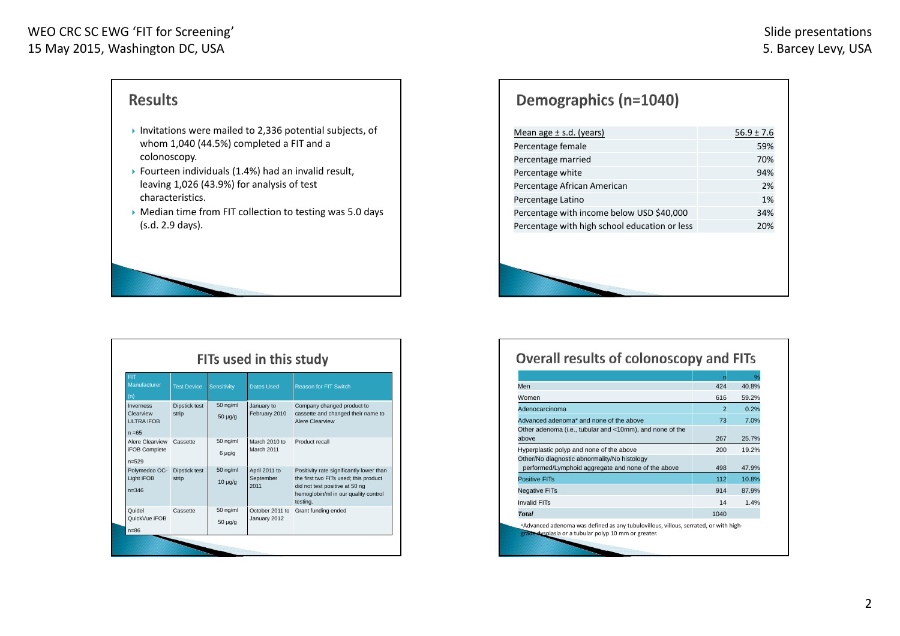### WEO CRC SC EWG 'FIT for Screening' 15 May 2015, Washington DC, USA

n=86

# **Results**

- Invitations were mailed to 2,336 potential subjects, of whom 1,040 (44.5%) completed <sup>a</sup> FIT and <sup>a</sup> colonoscopy.
- $\blacktriangleright$  Fourteen individuals (1.4%) had an invalid result, leaving 1,026 (43.9%) for analysis of test characteristics.
- $\blacktriangleright$  Median time from FIT collection to testing was 5.0 days (s.d. 2.9 days).

|                                                         | FITs used in this study |                            |                                    |                                                                                                                                                                         |  |
|---------------------------------------------------------|-------------------------|----------------------------|------------------------------------|-------------------------------------------------------------------------------------------------------------------------------------------------------------------------|--|
| FIT.<br>Manufacturer<br>(n)                             | <b>Test Device</b>      | Sensitivity                | <b>Dates Used</b>                  | <b>Reason for FIT Switch</b>                                                                                                                                            |  |
| Inverness<br>Clearview<br><b>ULTRA IFOB</b><br>$n = 65$ | Dipstick test<br>strip  | $50$ ng/ml<br>$50 \mu q/q$ | January to<br>February 2010        | Company changed product to<br>cassette and changed their name to<br>Alere Clearview                                                                                     |  |
| Alere Clearview<br><b>iFOB Complete</b><br>$n = 529$    | Cassette                | 50 ng/ml<br>$6 \mu q/q$    | March 2010 to<br>March 2011        | Product recall                                                                                                                                                          |  |
| Polymedco OC-<br>Light iFOB<br>$n = 346$                | Dipstick test<br>strip  | $50$ ng/ml<br>$10 \mu q/q$ | April 2011 to<br>September<br>2011 | Positivity rate significantly lower than<br>the first two FITs used; this product<br>did not test positive at 50 ng<br>hemoglobin/ml in our quality control<br>testing. |  |
| Quidel<br>QuickVue iFOB                                 | Cassette                | 50 ng/ml<br>$50 \mu g/g$   | October 2011 to<br>January 2012    | Grant funding ended                                                                                                                                                     |  |

# Demographics (n=1040)

| Percentage female<br>59%<br>Percentage married<br>70%<br>Percentage white<br>94%<br>Percentage African American<br>2%<br>1%<br>Percentage Latino |
|--------------------------------------------------------------------------------------------------------------------------------------------------|
|                                                                                                                                                  |
|                                                                                                                                                  |
|                                                                                                                                                  |
|                                                                                                                                                  |
|                                                                                                                                                  |
| Percentage with income below USD \$40,000<br>34%                                                                                                 |
| Percentage with high school education or less<br>20%                                                                                             |

#### **Overall results of colonoscopy and FITs**

|                                                                                                    | n    | $\frac{0}{2}$ |
|----------------------------------------------------------------------------------------------------|------|---------------|
| Men                                                                                                | 424  | 40.8%         |
| Women                                                                                              | 616  | 59.2%         |
| Adenocarcinoma                                                                                     | 2    | 0.2%          |
| Advanced adenoma* and none of the above                                                            | 73   | 7.0%          |
| Other adenoma (i.e., tubular and <10mm), and none of the<br>above                                  | 267  | 25.7%         |
| Hyperplastic polyp and none of the above                                                           | 200  | 19.2%         |
| Other/No diagnostic abnormality/No histology<br>performed/Lymphoid aggregate and none of the above | 498  | 47.9%         |
| <b>Positive FITs</b>                                                                               | 112  | 10.8%         |
| <b>Negative FITs</b>                                                                               | 914  | 87.9%         |
| <b>Invalid FITs</b>                                                                                | 14   | 1.4%          |
| <b>Total</b>                                                                                       | 1040 |               |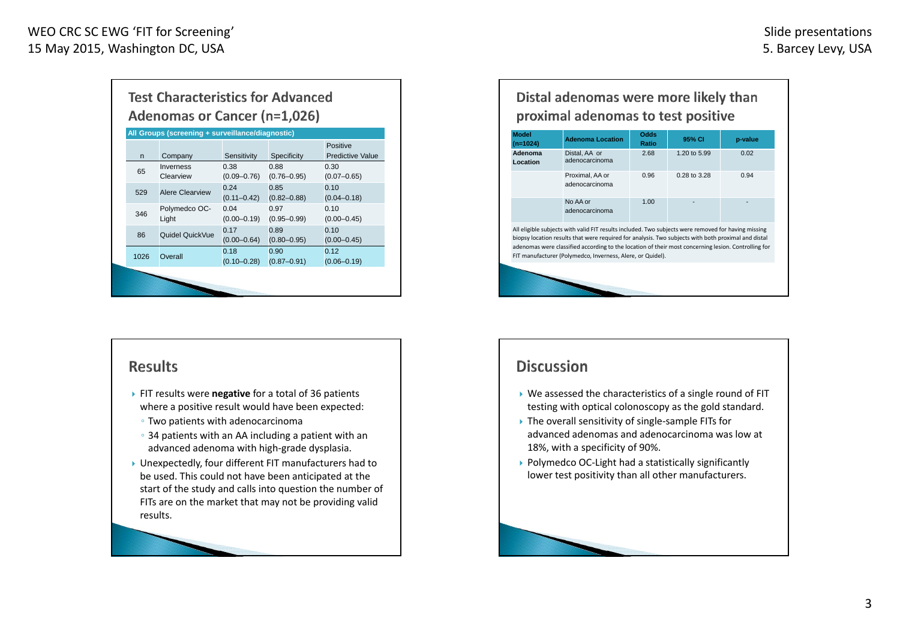| <b>Test Characteristics for Advanced</b><br><b>Adenomas or Cancer (n=1,026)</b> |                        |                         |                         |                                     |  |  |
|---------------------------------------------------------------------------------|------------------------|-------------------------|-------------------------|-------------------------------------|--|--|
| All Groups (screening + surveillance/diagnostic)                                |                        |                         |                         |                                     |  |  |
| $\mathsf{n}$                                                                    | Company                | Sensitivity             | Specificity             | Positive<br><b>Predictive Value</b> |  |  |
| 65                                                                              | Inverness<br>Clearview | 0.38<br>$(0.09 - 0.76)$ | 0.88<br>$(0.76 - 0.95)$ | 0.30<br>$(0.07 - 0.65)$             |  |  |
| 529                                                                             | Alere Clearview        | 0.24<br>$(0.11 - 0.42)$ | 0.85<br>$(0.82 - 0.88)$ | 0.10<br>$(0.04 - 0.18)$             |  |  |
| 346                                                                             | Polymedco OC-<br>Light | 0.04<br>$(0.00 - 0.19)$ | 0.97<br>$(0.95 - 0.99)$ | 0.10<br>$(0.00 - 0.45)$             |  |  |
| 86                                                                              | Quidel QuickVue        | 0.17<br>$(0.00 - 0.64)$ | 0.89<br>$(0.80 - 0.95)$ | 0.10<br>$(0.00 - 0.45)$             |  |  |
| 1026                                                                            | Overall                | 0.18<br>$(0.10 - 0.28)$ | 0.90<br>$(0.87 - 0.91)$ | 0,12<br>$(0.06 - 0.19)$             |  |  |
|                                                                                 |                        |                         |                         |                                     |  |  |

## **Results**

- FIT results were **negative** for <sup>a</sup> total of 36 patients where <sup>a</sup> positive result would have been expected:
- Two patients with adenocarcinoma
- 34 patients with an AA including <sup>a</sup> patient with an advanced adenoma with high‐grade dysplasia.
- Unexpectedly, four different FIT manufacturers had to be used. This could not have been anticipated at the start of the study and calls into question the number of FITs are on the market that may not be providing valid results.

## Distal adenomas were more likely than proximal adenomas to test positive

| <b>Model</b><br>$(n=1024)$                                        | <b>Adenoma Location</b>                                                                                                                                                                                                                                                                                                                                                         | Odds<br>Ratio | 95% CI       | p-value |  |  |
|-------------------------------------------------------------------|---------------------------------------------------------------------------------------------------------------------------------------------------------------------------------------------------------------------------------------------------------------------------------------------------------------------------------------------------------------------------------|---------------|--------------|---------|--|--|
| Adenoma<br>Location                                               | Distal, AA or<br>adenocarcinoma                                                                                                                                                                                                                                                                                                                                                 | 2.68          | 1.20 to 5.99 | 0.02    |  |  |
| 0.94<br>Proximal, AA or<br>0.96<br>0.28 to 3.28<br>adenocarcinoma |                                                                                                                                                                                                                                                                                                                                                                                 |               |              |         |  |  |
|                                                                   | No AA or<br>adenocarcinoma                                                                                                                                                                                                                                                                                                                                                      | 1.00          |              |         |  |  |
|                                                                   | All eligible subjects with valid FIT results included. Two subjects were removed for having missing<br>biopsy location results that were required for analysis. Two subjects with both proximal and distal<br>adenomas were classified according to the location of their most concerning lesion. Controlling for<br>FIT manufacturer (Polymedco, Inverness, Alere, or Quidel). |               |              |         |  |  |
|                                                                   |                                                                                                                                                                                                                                                                                                                                                                                 |               |              |         |  |  |

## **Discussion**

- We assessed the characteristics of <sup>a</sup> single round of FIT testing with optical colonoscopy as the gold standard.
- ▶ The overall sensitivity of single-sample FITs for advanced adenomas and adenocarcinoma was low at 18%, with <sup>a</sup> specificity of 90%.
- ▶ Polymedco OC-Light had a statistically significantly lower test positivity than all other manufacturers.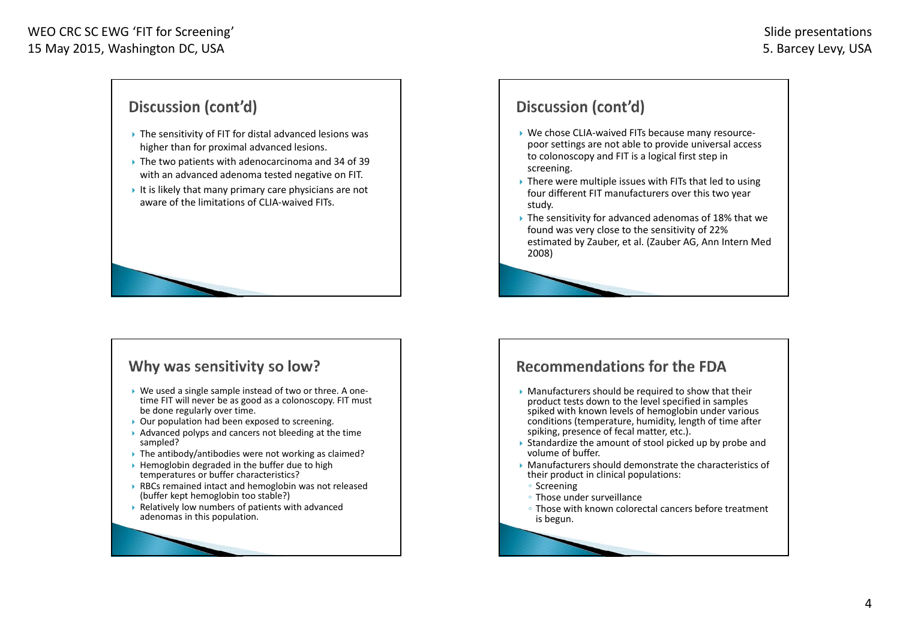# Discussion (cont'd)

- The sensitivity of FIT for distal advanced lesions was higher than for proximal advanced lesions.
- The two patients with adenocarcinoma and 34 of 39 with an advanced adenoma tested negative on FIT.
- It is likely that many primary care physicians are not aware of the limitations of CLIA‐waived FITs.

### Why was sensitivity so low?

- ▶ We used a single sample instead of two or three. A onetime FIT will never be as good as <sup>a</sup> colonoscopy. FIT must be done regularly over time.
- ▶ Our population had been exposed to screening.
- $\blacktriangleright$  Advanced polyps and cancers not bleeding at the time sampled?
- ▶ The antibody/antibodies were not working as claimed?
- $\blacktriangleright$  Hemoglobin degraded in the buffer due to high temperatures or buffer characteristics?
- RBCs remained intact and hemoglobin was not released (buffer kept hemoglobin too stable?)
- $\blacktriangleright$  Relatively low numbers of patients with advanced adenomas in this population.

## Discussion (cont'd)

- We chose CLIA‐waived FITs because many resource‐ poor settings are not able to provide universal access to colonoscopy and FIT is <sup>a</sup> logical first step in screening.
- $\blacktriangleright$  There were multiple issues with FITs that led to using four different FIT manufacturers over this two year study.
- The sensitivity for advanced adenomas of 18% that we found was very close to the sensitivity of 22% estimated by Zauber, et al. (Zauber AG, Ann Intern Med 2008)

## **Recommendations for the FDA**

- Manufacturers should be required to show that their product tests down to the level specified in samples spiked with known levels of hemoglobin under various conditions (temperature, humidity, length of time after spiking, presence of fecal matter, etc.).
- þ Standardize the amount of stool picked up by probe and volume of buffer.
- Manufacturers should demonstrate the characteristics of their product in clinical populations:
- Screening
- Those under surveillance
- Those with known colorectal cancers before treatment is begun.